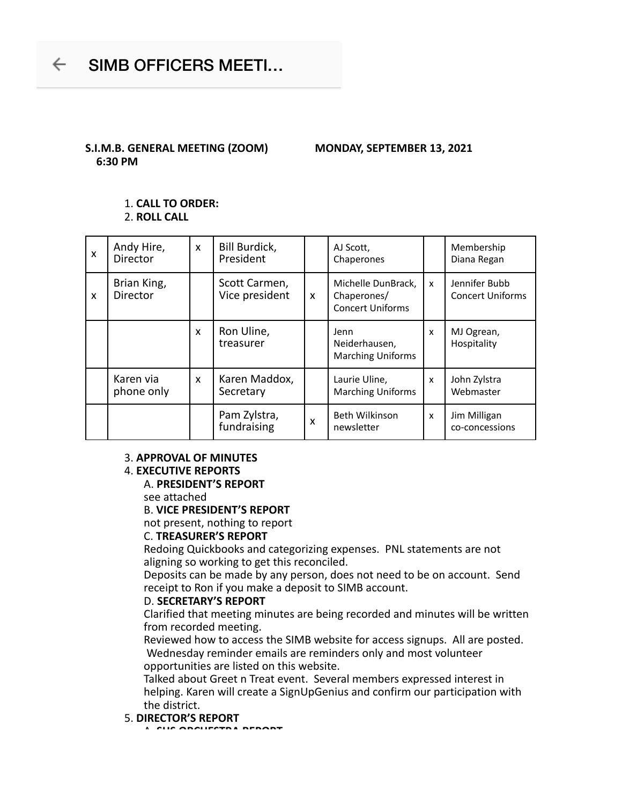## **S.I.M.B. GENERAL MEETING (ZOOM) MONDAY, SEPTEMBER 13, 2021 6:30 PM**

## 1. **CALL TO ORDER:**

2. **ROLL CALL**

| $\boldsymbol{\mathsf{x}}$ | Andy Hire,<br><b>Director</b>  | $\mathsf{x}$              | Bill Burdick,<br>President      |                           | AJ Scott,<br>Chaperones                                      |   | Membership<br>Diana Regan                |
|---------------------------|--------------------------------|---------------------------|---------------------------------|---------------------------|--------------------------------------------------------------|---|------------------------------------------|
| X                         | Brian King,<br><b>Director</b> |                           | Scott Carmen,<br>Vice president | $\boldsymbol{\mathsf{x}}$ | Michelle DunBrack,<br>Chaperones/<br><b>Concert Uniforms</b> | X | Jennifer Bubb<br><b>Concert Uniforms</b> |
|                           |                                | $\boldsymbol{\mathsf{x}}$ | Ron Uline,<br>treasurer         |                           | Jenn<br>Neiderhausen,<br><b>Marching Uniforms</b>            | X | MJ Ogrean,<br>Hospitality                |
|                           | Karen via<br>phone only        | $\boldsymbol{\mathsf{x}}$ | Karen Maddox,<br>Secretary      |                           | Laurie Uline,<br><b>Marching Uniforms</b>                    | X | John Zylstra<br>Webmaster                |
|                           |                                |                           | Pam Zylstra,<br>fundraising     | X                         | <b>Beth Wilkinson</b><br>newsletter                          | X | Jim Milligan<br>co-concessions           |

## 3. **APPROVAL OF MINUTES**

#### 4. **EXECUTIVE REPORTS**

#### A. **PRESIDENT'S REPORT**

see attached

#### B. **VICE PRESIDENT'S REPORT**

not present, nothing to report

#### C. **TREASURER'S REPORT**

Redoing Quickbooks and categorizing expenses. PNL statements are not aligning so working to get this reconciled.

Deposits can be made by any person, does not need to be on account. Send receipt to Ron if you make a deposit to SIMB account.

#### D. **SECRETARY'S REPORT**

Clarified that meeting minutes are being recorded and minutes will be written from recorded meeting.

Reviewed how to access the SIMB website for access signups. All are posted. Wednesday reminder emails are reminders only and most volunteer opportunities are listed on this website.

Talked about Greet n Treat event. Several members expressed interest in helping. Karen will create a SignUpGenius and confirm our participation with the district.

#### 5. **DIRECTOR'S REPORT**

A. **SHS ORCHESTRA REPORT**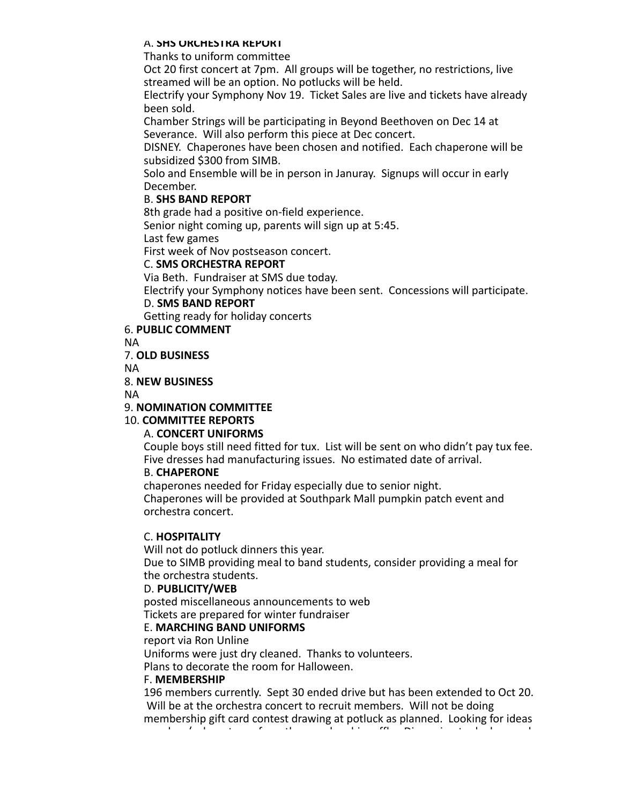#### A. **SHS ORCHESTRA REPORT**

Thanks to uniform committee

Oct 20 first concert at 7pm. All groups will be together, no restrictions, live streamed will be an option. No potlucks will be held.

Electrify your Symphony Nov 19. Ticket Sales are live and tickets have already been sold.

Chamber Strings will be participating in Beyond Beethoven on Dec 14 at Severance. Will also perform this piece at Dec concert.

DISNEY. Chaperones have been chosen and notified. Each chaperone will be subsidized \$300 from SIMB.

Solo and Ensemble will be in person in Januray. Signups will occur in early December.

## B. **SHS BAND REPORT**

8th grade had a positive on-field experience.

Senior night coming up, parents will sign up at 5:45.

Last few games

First week of Nov postseason concert.

#### C. **SMS ORCHESTRA REPORT**

Via Beth. Fundraiser at SMS due today.

Electrify your Symphony notices have been sent. Concessions will participate.

D. **SMS BAND REPORT**

Getting ready for holiday concerts

## 6. **PUBLIC COMMENT**

NA

7. **OLD BUSINESS**

NA

## 8. **NEW BUSINESS**

NA

#### 9. **NOMINATION COMMITTEE**

## 10. **COMMITTEE REPORTS**

## A. **CONCERT UNIFORMS**

Couple boys still need fitted for tux. List will be sent on who didn't pay tux fee. Five dresses had manufacturing issues. No estimated date of arrival.

## B. **CHAPERONE**

chaperones needed for Friday especially due to senior night. Chaperones will be provided at Southpark Mall pumpkin patch event and orchestra concert.

## C. **HOSPITALITY**

Will not do potluck dinners this year.

Due to SIMB providing meal to band students, consider providing a meal for the orchestra students.

## D. **PUBLICITY/WEB**

posted miscellaneous announcements to web Tickets are prepared for winter fundraiser

## E. **MARCHING BAND UNIFORMS**

report via Ron Unline

Uniforms were just dry cleaned. Thanks to volunteers.

Plans to decorate the room for Halloween.

#### F. **MEMBERSHIP**

196 members currently. Sept 30 ended drive but has been extended to Oct 20. Will be at the orchestra concert to recruit members. Will not be doing membership gift card contest drawing at potluck as planned. Looking for ideas on when/ where to perform the membership raffle. Discussion took place and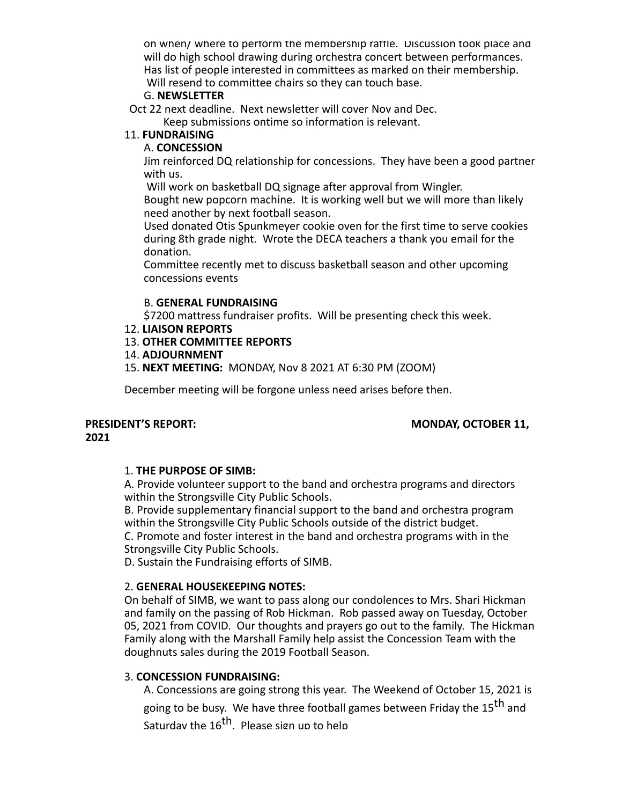on when/ where to perform the membership raffle. Discussion took place and will do high school drawing during orchestra concert between performances. Has list of people interested in committees as marked on their membership. Will resend to committee chairs so they can touch base.

#### G. **NEWSLETTER**

Oct 22 next deadline. Next newsletter will cover Nov and Dec.

Keep submissions ontime so information is relevant.

## 11. **FUNDRAISING**

#### A. **CONCESSION**

Jim reinforced DQ relationship for concessions. They have been a good partner with us.

Will work on basketball DQ signage after approval from Wingler.

Bought new popcorn machine. It is working well but we will more than likely need another by next football season.

Used donated Otis Spunkmeyer cookie oven for the first time to serve cookies during 8th grade night. Wrote the DECA teachers a thank you email for the donation.

Committee recently met to discuss basketball season and other upcoming concessions events

#### B. **GENERAL FUNDRAISING**

\$7200 mattress fundraiser profits. Will be presenting check this week.

## 12. **LIAISON REPORTS**

13. **OTHER COMMITTEE REPORTS**

#### 14. **ADJOURNMENT**

15. **NEXT MEETING:** MONDAY, Nov 8 2021 AT 6:30 PM (ZOOM)

December meeting will be forgone unless need arises before then.

# **2021**

## PRESIDENT'S REPORT: MONDAY, OCTOBER 11,

## 1. **THE PURPOSE OF SIMB:**

A. Provide volunteer support to the band and orchestra programs and directors within the Strongsville City Public Schools.

B. Provide supplementary financial support to the band and orchestra program within the Strongsville City Public Schools outside of the district budget.

C. Promote and foster interest in the band and orchestra programs with in the Strongsville City Public Schools.

D. Sustain the Fundraising efforts of SIMB.

## 2. **GENERAL HOUSEKEEPING NOTES:**

On behalf of SIMB, we want to pass along our condolences to Mrs. Shari Hickman and family on the passing of Rob Hickman. Rob passed away on Tuesday, October 05, 2021 from COVID. Our thoughts and prayers go out to the family. The Hickman Family along with the Marshall Family help assist the Concession Team with the doughnuts sales during the 2019 Football Season.

## 3. **CONCESSION FUNDRAISING:**

A. Concessions are going strong this year. The Weekend of October 15, 2021 is going to be busy. We have three football games between Friday the 15<sup>th</sup> and Saturdav the 16<sup>th</sup>. Please sign up to help